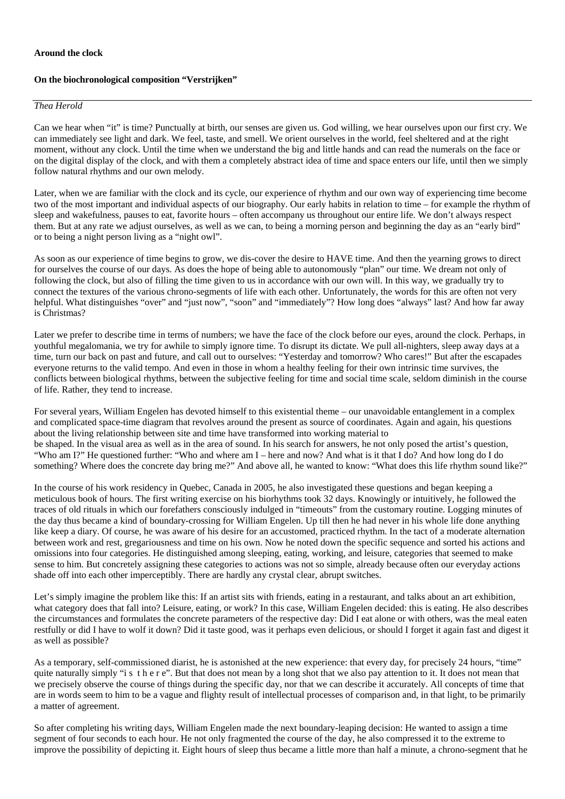## **On the biochronological composition "Verstrijken"**

## *Thea Herold*

Can we hear when "it" is time? Punctually at birth, our senses are given us. God willing, we hear ourselves upon our first cry. We can immediately see light and dark. We feel, taste, and smell. We orient ourselves in the world, feel sheltered and at the right moment, without any clock. Until the time when we understand the big and little hands and can read the numerals on the face or on the digital display of the clock, and with them a completely abstract idea of time and space enters our life, until then we simply follow natural rhythms and our own melody.

Later, when we are familiar with the clock and its cycle, our experience of rhythm and our own way of experiencing time become two of the most important and individual aspects of our biography. Our early habits in relation to time – for example the rhythm of sleep and wakefulness, pauses to eat, favorite hours – often accompany us throughout our entire life. We don't always respect them. But at any rate we adjust ourselves, as well as we can, to being a morning person and beginning the day as an "early bird" or to being a night person living as a "night owl".

As soon as our experience of time begins to grow, we dis-cover the desire to HAVE time. And then the yearning grows to direct for ourselves the course of our days. As does the hope of being able to autonomously "plan" our time. We dream not only of following the clock, but also of filling the time given to us in accordance with our own will. In this way, we gradually try to connect the textures of the various chrono-segments of life with each other. Unfortunately, the words for this are often not very helpful. What distinguishes "over" and "just now", "soon" and "immediately"? How long does "always" last? And how far away is Christmas?

Later we prefer to describe time in terms of numbers; we have the face of the clock before our eyes, around the clock. Perhaps, in youthful megalomania, we try for awhile to simply ignore time. To disrupt its dictate. We pull all-nighters, sleep away days at a time, turn our back on past and future, and call out to ourselves: "Yesterday and tomorrow? Who cares!" But after the escapades everyone returns to the valid tempo. And even in those in whom a healthy feeling for their own intrinsic time survives, the conflicts between biological rhythms, between the subjective feeling for time and social time scale, seldom diminish in the course of life. Rather, they tend to increase.

For several years, William Engelen has devoted himself to this existential theme – our unavoidable entanglement in a complex and complicated space-time diagram that revolves around the present as source of coordinates. Again and again, his questions about the living relationship between site and time have transformed into working material to be shaped. In the visual area as well as in the area of sound. In his search for answers, he not only posed the artist's question, "Who am I?" He questioned further: "Who and where am I – here and now? And what is it that I do? And how long do I do something? Where does the concrete day bring me?" And above all, he wanted to know: "What does this life rhythm sound like?"

In the course of his work residency in Quebec, Canada in 2005, he also investigated these questions and began keeping a meticulous book of hours. The first writing exercise on his biorhythms took 32 days. Knowingly or intuitively, he followed the traces of old rituals in which our forefathers consciously indulged in "timeouts" from the customary routine. Logging minutes of the day thus became a kind of boundary-crossing for William Engelen. Up till then he had never in his whole life done anything like keep a diary. Of course, he was aware of his desire for an accustomed, practiced rhythm. In the tact of a moderate alternation between work and rest, gregariousness and time on his own. Now he noted down the specific sequence and sorted his actions and omissions into four categories. He distinguished among sleeping, eating, working, and leisure, categories that seemed to make sense to him. But concretely assigning these categories to actions was not so simple, already because often our everyday actions shade off into each other imperceptibly. There are hardly any crystal clear, abrupt switches.

Let's simply imagine the problem like this: If an artist sits with friends, eating in a restaurant, and talks about an art exhibition, what category does that fall into? Leisure, eating, or work? In this case, William Engelen decided: this is eating. He also describes the circumstances and formulates the concrete parameters of the respective day: Did I eat alone or with others, was the meal eaten restfully or did I have to wolf it down? Did it taste good, was it perhaps even delicious, or should I forget it again fast and digest it as well as possible?

As a temporary, self-commissioned diarist, he is astonished at the new experience: that every day, for precisely 24 hours, "time" quite naturally simply "i s t h e r e". But that does not mean by a long shot that we also pay attention to it. It does not mean that we precisely observe the course of things during the specific day, nor that we can describe it accurately. All concepts of time that are in words seem to him to be a vague and flighty result of intellectual processes of comparison and, in that light, to be primarily a matter of agreement.

So after completing his writing days, William Engelen made the next boundary-leaping decision: He wanted to assign a time segment of four seconds to each hour. He not only fragmented the course of the day, he also compressed it to the extreme to improve the possibility of depicting it. Eight hours of sleep thus became a little more than half a minute, a chrono-segment that he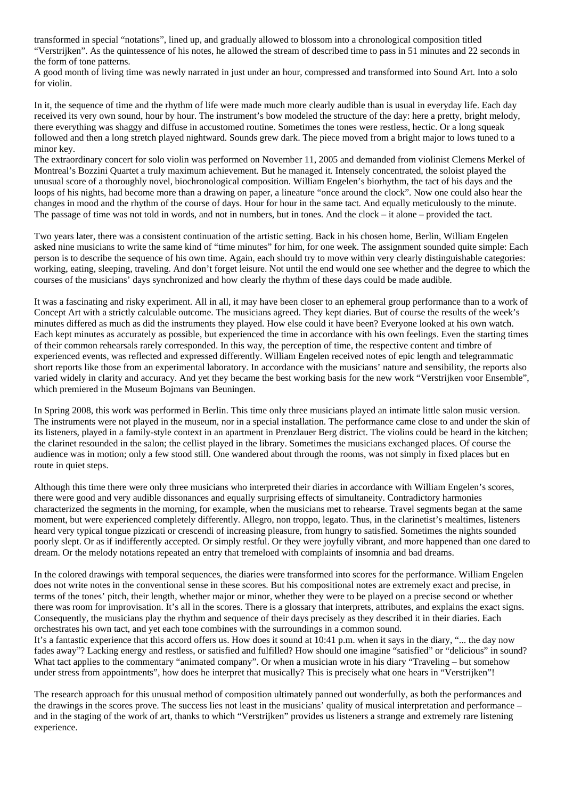transformed in special "notations", lined up, and gradually allowed to blossom into a chronological composition titled "Verstrijken". As the quintessence of his notes, he allowed the stream of described time to pass in 51 minutes and 22 seconds in the form of tone patterns.

A good month of living time was newly narrated in just under an hour, compressed and transformed into Sound Art. Into a solo for violin.

In it, the sequence of time and the rhythm of life were made much more clearly audible than is usual in everyday life. Each day received its very own sound, hour by hour. The instrument's bow modeled the structure of the day: here a pretty, bright melody, there everything was shaggy and diffuse in accustomed routine. Sometimes the tones were restless, hectic. Or a long squeak followed and then a long stretch played nightward. Sounds grew dark. The piece moved from a bright major to lows tuned to a minor key.

The extraordinary concert for solo violin was performed on November 11, 2005 and demanded from violinist Clemens Merkel of Montreal's Bozzini Quartet a truly maximum achievement. But he managed it. Intensely concentrated, the soloist played the unusual score of a thoroughly novel, biochronological composition. William Engelen's biorhythm, the tact of his days and the loops of his nights, had become more than a drawing on paper, a lineature "once around the clock". Now one could also hear the changes in mood and the rhythm of the course of days. Hour for hour in the same tact. And equally meticulously to the minute. The passage of time was not told in words, and not in numbers, but in tones. And the clock – it alone – provided the tact.

Two years later, there was a consistent continuation of the artistic setting. Back in his chosen home, Berlin, William Engelen asked nine musicians to write the same kind of "time minutes" for him, for one week. The assignment sounded quite simple: Each person is to describe the sequence of his own time. Again, each should try to move within very clearly distinguishable categories: working, eating, sleeping, traveling. And don't forget leisure. Not until the end would one see whether and the degree to which the courses of the musicians' days synchronized and how clearly the rhythm of these days could be made audible.

It was a fascinating and risky experiment. All in all, it may have been closer to an ephemeral group performance than to a work of Concept Art with a strictly calculable outcome. The musicians agreed. They kept diaries. But of course the results of the week's minutes differed as much as did the instruments they played. How else could it have been? Everyone looked at his own watch. Each kept minutes as accurately as possible, but experienced the time in accordance with his own feelings. Even the starting times of their common rehearsals rarely corresponded. In this way, the perception of time, the respective content and timbre of experienced events, was reflected and expressed differently. William Engelen received notes of epic length and telegrammatic short reports like those from an experimental laboratory. In accordance with the musicians' nature and sensibility, the reports also varied widely in clarity and accuracy. And yet they became the best working basis for the new work "Verstrijken voor Ensemble", which premiered in the Museum Bojmans van Beuningen.

In Spring 2008, this work was performed in Berlin. This time only three musicians played an intimate little salon music version. The instruments were not played in the museum, nor in a special installation. The performance came close to and under the skin of its listeners, played in a family-style context in an apartment in Prenzlauer Berg district. The violins could be heard in the kitchen; the clarinet resounded in the salon; the cellist played in the library. Sometimes the musicians exchanged places. Of course the audience was in motion; only a few stood still. One wandered about through the rooms, was not simply in fixed places but en route in quiet steps.

Although this time there were only three musicians who interpreted their diaries in accordance with William Engelen's scores, there were good and very audible dissonances and equally surprising effects of simultaneity. Contradictory harmonies characterized the segments in the morning, for example, when the musicians met to rehearse. Travel segments began at the same moment, but were experienced completely differently. Allegro, non troppo, legato. Thus, in the clarinetist's mealtimes, listeners heard very typical tongue pizzicati or crescendi of increasing pleasure, from hungry to satisfied. Sometimes the nights sounded poorly slept. Or as if indifferently accepted. Or simply restful. Or they were joyfully vibrant, and more happened than one dared to dream. Or the melody notations repeated an entry that tremeloed with complaints of insomnia and bad dreams.

In the colored drawings with temporal sequences, the diaries were transformed into scores for the performance. William Engelen does not write notes in the conventional sense in these scores. But his compositional notes are extremely exact and precise, in terms of the tones' pitch, their length, whether major or minor, whether they were to be played on a precise second or whether there was room for improvisation. It's all in the scores. There is a glossary that interprets, attributes, and explains the exact signs. Consequently, the musicians play the rhythm and sequence of their days precisely as they described it in their diaries. Each orchestrates his own tact, and yet each tone combines with the surroundings in a common sound.

It's a fantastic experience that this accord offers us. How does it sound at 10:41 p.m. when it says in the diary, "... the day now fades away"? Lacking energy and restless, or satisfied and fulfilled? How should one imagine "satisfied" or "delicious" in sound? What tact applies to the commentary "animated company". Or when a musician wrote in his diary "Traveling – but somehow under stress from appointments", how does he interpret that musically? This is precisely what one hears in "Verstrijken"!

The research approach for this unusual method of composition ultimately panned out wonderfully, as both the performances and the drawings in the scores prove. The success lies not least in the musicians' quality of musical interpretation and performance – and in the staging of the work of art, thanks to which "Verstrijken" provides us listeners a strange and extremely rare listening experience.